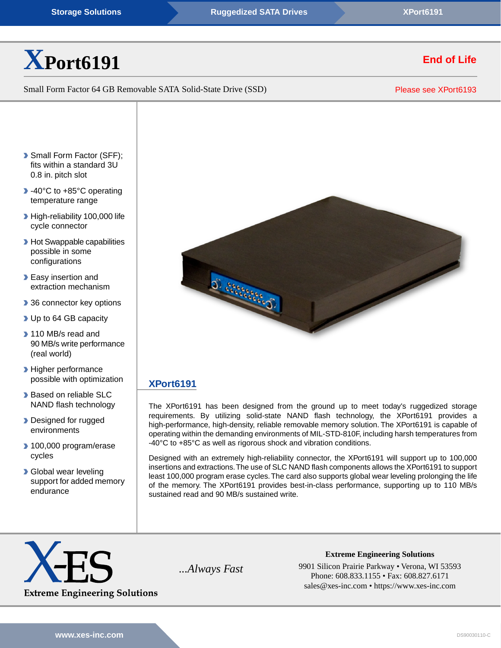

# Small Form Factor 64 GB Removable SATA Solid-State Drive (SSD)

Please see [XPort6193](https://www.xes-inc.com/embedded-storage/xport6193/?utm_source=dynamic&utm_medium=referral&utm_term=XPort6191&utm_content=NRND&utm_campaign=Datasheet)

**End of Life**

- Small Form Factor (SFF); fits within a standard 3U 0.8 in. pitch slot
- ▶ -40°C to +85°C operating temperature range
- High-reliability 100,000 life cycle connector
- **Hot Swappable capabilities** possible in some configurations
- **Easy insertion and** extraction mechanism
- ▶ 36 connector key options
- ▶ Up to 64 GB capacity
- 110 MB/s read and 90 MB/s write performance (real world)
- **Higher performance** possible with optimization
- **Based on reliable SLC** NAND flash technology
- Designed for rugged environments
- ▶ 100,000 program/erase cycles
- **Global wear leveling** support for added memory endurance



# **[XPort6191](https://www.xes-inc.com/products/embedded-storage/xport6191/?utm_source=dynamic&utm_medium=referral&utm_term=XPort6191&utm_content=Description%20Title&utm_campaign=Datasheet)**

The XPort6191 has been designed from the ground up to meet today's ruggedized storage requirements. By utilizing solid-state NAND flash technology, the XPort6191 provides a high-performance, high-density, reliable removable memory solution. The XPort6191 is capable of operating within the demanding environments of MIL-STD-810F, including harsh temperatures from -40°C to +85°C as well as rigorous shock and vibration conditions.

Designed with an extremely high-reliability connector, the XPort6191 will support up to 100,000 insertions and extractions.The use of SLC NAND flash components allows the XPort6191 to support least 100,000 program erase cycles. The card also supports global wear leveling prolonging the life of the memory. The XPort6191 provides best-in-class performance, supporting up to 110 MB/s sustained read and 90 MB/s sustained write.



**Extreme Engineering Solutions** *...Always Fast* 9901 Silicon Prairie Parkway • Verona, WI 53593 Phone: 608.833.1155 • Fax: 608.827.6171 sales@xes-inc.com • <https://www.xes-inc.com>